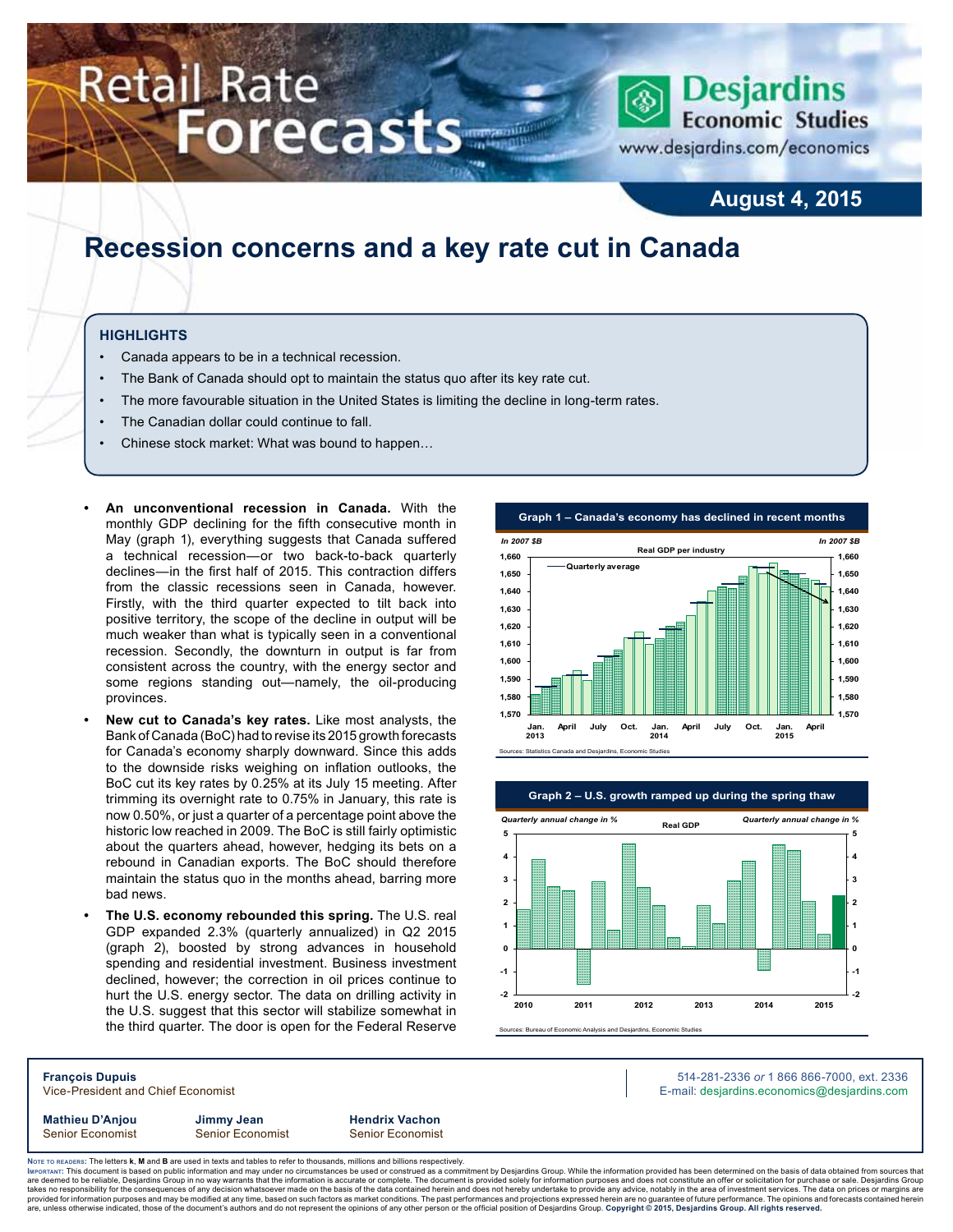# **Retail Rate Forecasts**



www.desjardins.com/economics

### **August 4, 2015**

## **Recession concerns and a key rate cut in Canada**

#### **Highlights**

- Canada appears to be in a technical recession.
- The Bank of Canada should opt to maintain the status quo after its key rate cut.
- The more favourable situation in the United States is limiting the decline in long-term rates.
- The Canadian dollar could continue to fall.
- Chinese stock market: What was bound to happen…
- An unconventional recession in Canada. With the monthly GDP declining for the fifth consecutive month in May (graph 1), everything suggests that Canada suffered a technical recession—or two back-to-back quarterly declines—in the first half of 2015. This contraction differs from the classic recessions seen in Canada, however. Firstly, with the third quarter expected to tilt back into positive territory, the scope of the decline in output will be much weaker than what is typically seen in a conventional recession. Secondly, the downturn in output is far from consistent across the country, with the energy sector and some regions standing out—namely, the oil-producing provinces.
- New cut to Canada's key rates. Like most analysts, the Bank of Canada (BoC) had to revise its 2015 growth forecasts for Canada's economy sharply downward. Since this adds to the downside risks weighing on inflation outlooks, the BoC cut its key rates by 0.25% at its July 15 meeting. After trimming its overnight rate to 0.75% in January, this rate is now 0.50%, or just a quarter of a percentage point above the historic low reached in 2009. The BoC is still fairly optimistic about the quarters ahead, however, hedging its bets on a rebound in Canadian exports. The BoC should therefore maintain the status quo in the months ahead, barring more bad news.
- **The U.S. economy rebounded this spring.** The U.S. real GDP expanded 2.3% (quarterly annualized) in Q2 2015 (graph 2), boosted by strong advances in household spending and residential investment. Business investment declined, however; the correction in oil prices continue to hurt the U.S. energy sector. The data on drilling activity in the U.S. suggest that this sector will stabilize somewhat in the third quarter. The door is open for the Federal Reserve





**François Dupuis** 514-281-2336 *or* 1 866 866-7000, ext. 2336 Vice-President and Chief Economist **E-mail: designediate and Chief Economist** E-mail: designediate economics@desjardins.com

**Mathieu D'Anjou Jimmy Jean Hendrix Vachon** Senior Economist Senior Economist Senior Economist

Noте то келоекs: The letters **k, M** and **B** are used in texts and tables to refer to thousands, millions and billions respectively.<br>Імроктлит: This document is based on public information and may under no circumstances be are deemed to be reliable, Desjardins Group in no way warrants that the information is accurate or complete. The document is provided solely for information purposes and does not constitute an offer or solicitation for pur takes no responsibility for the consequences of any decision whatsoever made on the basis of the data contained herein and does not hereby undertake to provide any advice, notably in the area of investment services. The da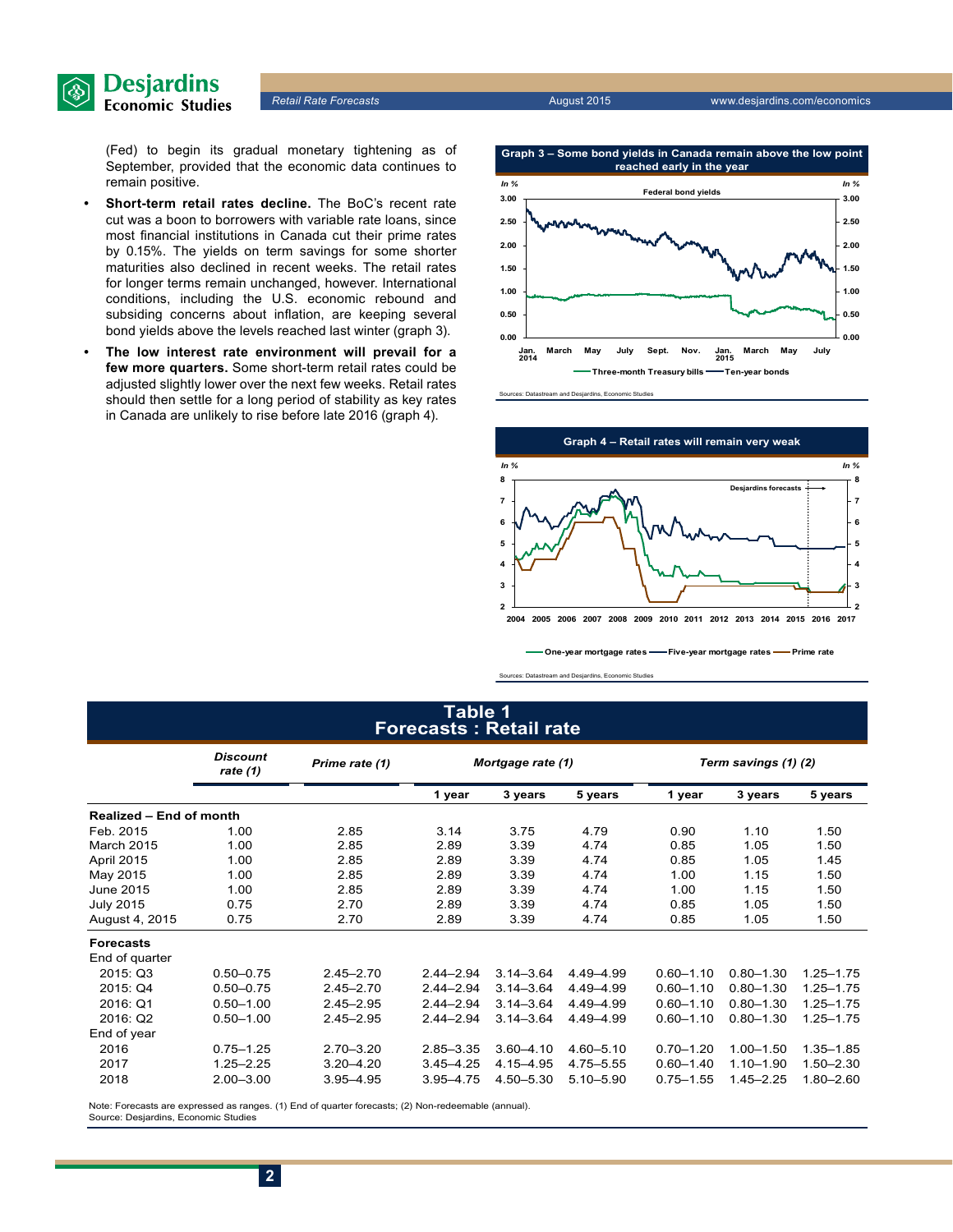

(Fed) to begin its gradual monetary tightening as of September, provided that the economic data continues to remain positive.

- **Short-term retail rates decline.** The BoC's recent rate cut was a boon to borrowers with variable rate loans, since most financial institutions in Canada cut their prime rates by 0.15%. The yields on term savings for some shorter maturities also declined in recent weeks. The retail rates for longer terms remain unchanged, however. International conditions, including the U.S. economic rebound and subsiding concerns about inflation, are keeping several bond yields above the levels reached last winter (graph 3).
- The low interest rate environment will prevail for a **few more quarters.** Some short-term retail rates could be adjusted slightly lower over the next few weeks. Retail rates should then settle for a long period of stability as key rates in Canada are unlikely to rise before late 2016 (graph 4).





**One-year mortgage rates Five-year mortgage rates Prime rate** 

Sources: Datastream and Desjardins, Economic Studies

### **Table 1 Forecasts : Retail rate**

|                         | <b>Discount</b><br>rate (1) | Prime rate (1) | Mortgage rate (1) |               |               | Term savings (1) (2) |               |               |
|-------------------------|-----------------------------|----------------|-------------------|---------------|---------------|----------------------|---------------|---------------|
|                         |                             |                | 1 year            | 3 years       | 5 years       | 1 year               | 3 years       | 5 years       |
| Realized - End of month |                             |                |                   |               |               |                      |               |               |
| Feb. 2015               | 1.00                        | 2.85           | 3.14              | 3.75          | 4.79          | 0.90                 | 1.10          | 1.50          |
| March 2015              | 1.00                        | 2.85           | 2.89              | 3.39          | 4.74          | 0.85                 | 1.05          | 1.50          |
| April 2015              | 1.00                        | 2.85           | 2.89              | 3.39          | 4.74          | 0.85                 | 1.05          | 1.45          |
| May 2015                | 1.00                        | 2.85           | 2.89              | 3.39          | 4.74          | 1.00                 | 1.15          | 1.50          |
| June 2015               | 2.85<br>1.00                |                | 2.89              | 3.39          | 4.74          | 1.00                 | 1.15          | 1.50          |
| <b>July 2015</b>        | 0.75                        | 2.70           | 2.89              | 3.39          | 4.74          | 0.85                 | 1.05          | 1.50          |
| August 4, 2015          | 0.75                        | 2.70           | 2.89              | 3.39          | 4.74          | 0.85                 | 1.05          | 1.50          |
| <b>Forecasts</b>        |                             |                |                   |               |               |                      |               |               |
| End of quarter          |                             |                |                   |               |               |                      |               |               |
| 2015: Q3                | $0.50 - 0.75$               | $2.45 - 2.70$  | $2.44 - 2.94$     | $3.14 - 3.64$ | 4.49-4.99     | $0.60 - 1.10$        | $0.80 - 1.30$ | $1.25 - 1.75$ |
| 2015: Q4                | $0.50 - 0.75$               | $2.45 - 2.70$  | $2.44 - 2.94$     | $3.14 - 3.64$ | 4.49-4.99     | $0.60 - 1.10$        | $0.80 - 1.30$ | $1.25 - 1.75$ |
| 2016: Q1                | $0.50 - 1.00$               | $2.45 - 2.95$  | $2.44 - 2.94$     | $3.14 - 3.64$ | 4.49-4.99     | $0.60 - 1.10$        | $0.80 - 1.30$ | $1.25 - 1.75$ |
| 2016: Q2                | $0.50 - 1.00$               | $2.45 - 2.95$  | $2.44 - 2.94$     | $3.14 - 3.64$ | 4.49-4.99     | $0.60 - 1.10$        | $0.80 - 1.30$ | $1.25 - 1.75$ |
| End of year             |                             |                |                   |               |               |                      |               |               |
| 2016                    | $0.75 - 1.25$               | $2.70 - 3.20$  | $2.85 - 3.35$     | $3.60 - 4.10$ | $4.60 - 5.10$ | $0.70 - 1.20$        | $1.00 - 1.50$ | $1.35 - 1.85$ |
| 2017                    | $1.25 - 2.25$               | $3.20 - 4.20$  | $3.45 - 4.25$     | 4.15 - 4.95   | 4.75 - 5.55   | $0.60 - 1.40$        | $1.10 - 1.90$ | $1.50 - 2.30$ |
| 2018                    | $2.00 - 3.00$               | $3.95 - 4.95$  | 3.95-4.75         | 4.50 - 5.30   | $5.10 - 5.90$ | $0.75 - 1.55$        | $1.45 - 2.25$ | $1.80 - 2.60$ |

Note: Forecasts are expressed as ranges. (1) End of quarter forecasts; (2) Non-redeemable (annual). Source: Desjardins, Economic Studies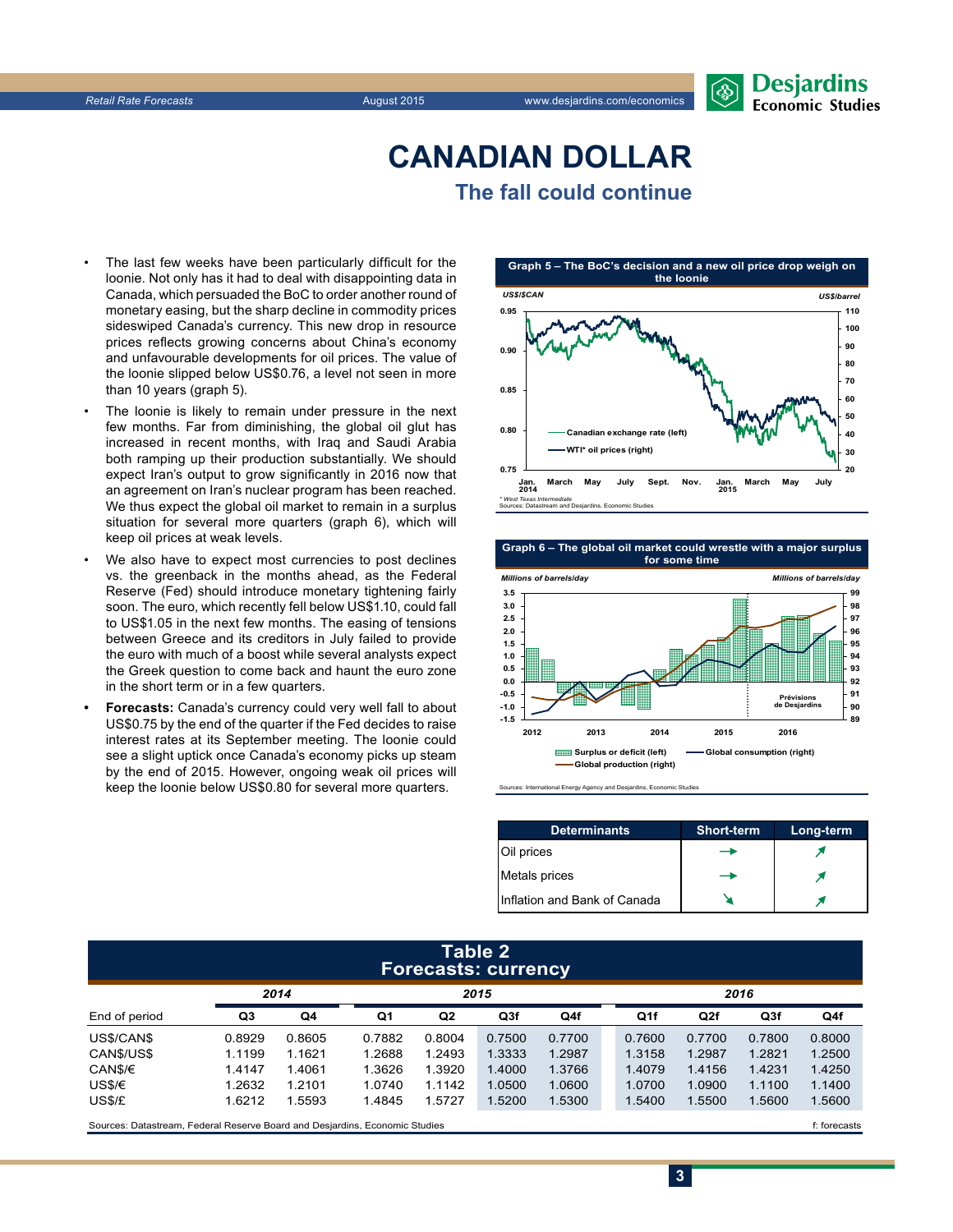## **CanadiAn Dollar The fall could continue**

- The last few weeks have been particularly difficult for the loonie. Not only has it had to deal with disappointing data in Canada, which persuaded the BoC to order another round of monetary easing, but the sharp decline in commodity prices sideswiped Canada's currency. This new drop in resource prices reflects growing concerns about China's economy and unfavourable developments for oil prices. The value of the loonie slipped below US\$0.76, a level not seen in more than 10 years (graph 5).
- The loonie is likely to remain under pressure in the next few months. Far from diminishing, the global oil glut has increased in recent months, with Iraq and Saudi Arabia both ramping up their production substantially. We should expect Iran's output to grow significantly in 2016 now that an agreement on Iran's nuclear program has been reached. We thus expect the global oil market to remain in a surplus situation for several more quarters (graph 6), which will keep oil prices at weak levels.
- We also have to expect most currencies to post declines vs. the greenback in the months ahead, as the Federal Reserve (Fed) should introduce monetary tightening fairly soon. The euro, which recently fell below US\$1.10, could fall to US\$1.05 in the next few months. The easing of tensions between Greece and its creditors in July failed to provide the euro with much of a boost while several analysts expect the Greek question to come back and haunt the euro zone in the short term or in a few quarters.
- Forecasts: Canada's currency could very well fall to about US\$0.75 by the end of the quarter if the Fed decides to raise interest rates at its September meeting. The loonie could see a slight uptick once Canada's economy picks up steam by the end of 2015. However, ongoing weak oil prices will keep the loonie below US\$0.80 for several more quarters.



**Graph 6 – The global oil market could wrestle with a major surplus for some time**



Sources: International Energy Agency and Desjardins, Economic Studies

| <b>Determinants</b>          | <b>Short-term</b> | Long-term |
|------------------------------|-------------------|-----------|
| Oil prices                   |                   |           |
| Metals prices                |                   |           |
| Inflation and Bank of Canada |                   |           |

**3**

#### **Table 2 Forecasts: currency**

|               | 2014   |        | 2015   |                |        |        | 2016   |        |                 |        |
|---------------|--------|--------|--------|----------------|--------|--------|--------|--------|-----------------|--------|
| End of period | Q3     | Q4     | Q1     | Q <sub>2</sub> | Q3f    | Q4f    | Q1f    | Q2f    | Q <sub>3f</sub> | Q4f    |
| US\$/CAN\$    | 0.8929 | 0.8605 | 0.7882 | 0.8004         | 0.7500 | 0.7700 | 0.7600 | 0.7700 | 0.7800          | 0.8000 |
| CAN\$/US\$    | 1.1199 | 1.1621 | 1.2688 | 1.2493         | 1.3333 | 1.2987 | 1.3158 | 1.2987 | 1.2821          | 1.2500 |
| CAN\$/€       | 1.4147 | 1.4061 | 1.3626 | 1.3920         | 1.4000 | 1.3766 | 1.4079 | 1.4156 | 1.4231          | 1.4250 |
| US\$/€        | 1.2632 | 1.2101 | 1.0740 | 1.1142         | 1.0500 | 1.0600 | 1.0700 | 1.0900 | 1.1100          | 1.1400 |
| US\$/£        | 1.6212 | 1.5593 | 1.4845 | 1.5727         | 1.5200 | 1.5300 | 1.5400 | 1.5500 | 1.5600          | 1.5600 |
|               |        |        |        |                |        |        |        |        |                 |        |

Sources: Datastream, Federal Reserve Board and Desjardins, Economic Studies file of the case of the case of the case of the case of the case of the case of the case of the case of the case of the case of the case of the ca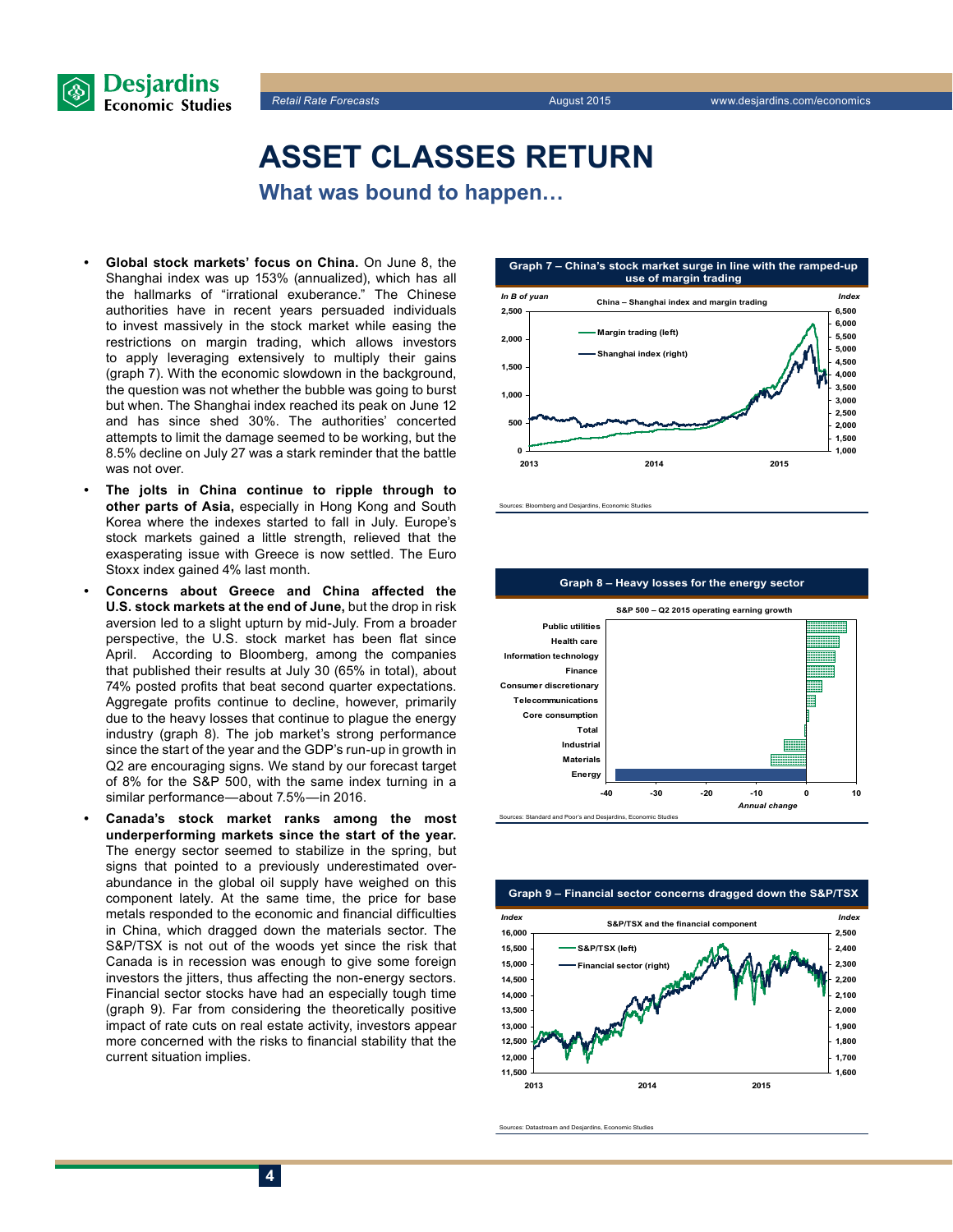

# **Asset classes return**

**What was bound to happen…** 

- **Global stock markets' focus on China.** On June 8, the Shanghai index was up 153% (annualized), which has all the hallmarks of "irrational exuberance." The Chinese authorities have in recent years persuaded individuals to invest massively in the stock market while easing the restrictions on margin trading, which allows investors to apply leveraging extensively to multiply their gains (graph 7). With the economic slowdown in the background, the question was not whether the bubble was going to burst but when. The Shanghai index reached its peak on June 12 and has since shed 30%. The authorities' concerted attempts to limit the damage seemed to be working, but the 8.5% decline on July 27 was a stark reminder that the battle was not over.
- The jolts in China continue to ripple through to **other parts of Asia,** especially in Hong Kong and South Korea where the indexes started to fall in July. Europe's stock markets gained a little strength, relieved that the exasperating issue with Greece is now settled. The Euro Stoxx index gained 4% last month.
- **Concerns about Greece and China affected the U.S. stock markets at the end of June,** but the drop in risk aversion led to a slight upturn by mid-July. From a broader perspective, the U.S. stock market has been flat since April. According to Bloomberg, among the companies that published their results at July 30 (65% in total), about 74% posted profits that beat second quarter expectations. Aggregate profits continue to decline, however, primarily due to the heavy losses that continue to plague the energy industry (graph 8). The job market's strong performance since the start of the year and the GDP's run-up in growth in Q2 are encouraging signs. We stand by our forecast target of 8% for the S&P 500, with the same index turning in a similar performance—about 7.5%—in 2016.
- Canada's stock market ranks among the most **underperforming markets since the start of the year.** The energy sector seemed to stabilize in the spring, but signs that pointed to a previously underestimated overabundance in the global oil supply have weighed on this component lately. At the same time, the price for base metals responded to the economic and financial difficulties in China, which dragged down the materials sector. The S&P/TSX is not out of the woods yet since the risk that Canada is in recession was enough to give some foreign investors the jitters, thus affecting the non-energy sectors. Financial sector stocks have had an especially tough time (graph 9). Far from considering the theoretically positive impact of rate cuts on real estate activity, investors appear more concerned with the risks to financial stability that the current situation implies.



rces: Bloomberg and Desjardins, Economic Studies





Sources: Datastream and Desjardins, Economic Studies